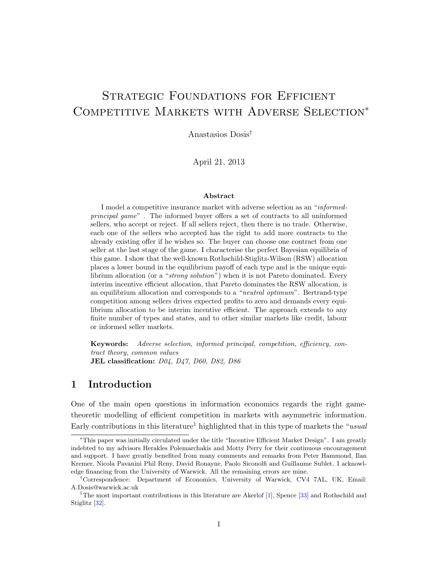# STRATEGIC FOUNDATIONS FOR EFFICIENT COMPETITIVE MARKETS WITH ADVERSE SELECTION<sup>\*</sup>

Anastasios Dosis†

April 21, 2013

#### Abstract

I model a competitive insurance market with adverse selection as an "informedprincipal game" . The informed buyer offers a set of contracts to all uninformed sellers, who accept or reject. If all sellers reject, then there is no trade. Otherwise, each one of the sellers who accepted has the right to add more contracts to the already existing offer if he wishes so. The buyer can choose one contract from one seller at the last stage of the game. I characterise the perfect Bayesian equilibria of this game. I show that the well-known Rothschild-Stiglitz-Wilson (RSW) allocation places a lower bound in the equilibrium payoff of each type and is the unique equilibrium allocation (or a "strong solution") when it is not Pareto dominated. Every interim incentive efficient allocation, that Pareto dominates the RSW allocation, is an equilibrium allocation and corresponds to a "neutral optimum". Bertrand-type competition among sellers drives expected profits to zero and demands every equilibrium allocation to be interim incentive efficient. The approach extends to any finite number of types and states, and to other similar markets like credit, labour or informed seller markets.

Keywords: Adverse selection, informed principal, competition, efficiency, contract theory, common values JEL classification:  $D04$ ,  $D47$ ,  $D60$ ,  $D82$ ,  $D86$ 

# 1 Introduction

One of the main open questions in information economics regards the right gametheoretic modelling of efficient competition in markets with asymmetric information. Early contributions in this literature<sup>[1](#page-0-0)</sup> highlighted that in this type of markets the "usual"

<sup>∗</sup>This paper was initially circulated under the title "Incentive Efficient Market Design". I am greatly indebted to my advisors Herakles Polemarchakis and Motty Perry for their continuous encouragement and support. I have greatly benefited from many comments and remarks from Peter Hammond, Ilan Kremer, Nicola Pavanini Phil Reny, David Ronayne, Paolo Siconolfi and Guillaume Sublet. I acknowledge financing from the University of Warwick. All the remaining errors are mine.

<sup>†</sup>Correspondence: Department of Economics, University of Warwick, CV4 7AL, UK, Email: A.Dosis@warwick.ac.uk

<span id="page-0-0"></span><sup>&</sup>lt;sup>1</sup>The most important contributions in this literature are Akerlof  $[1]$ , Spence  $[33]$  and Rothschild and Stiglitz [\[32\]](#page-21-1).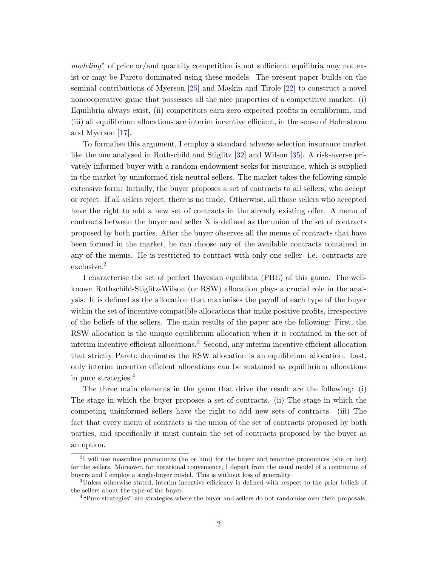modeling" of price or/and quantity competition is not sufficient; equilibria may not exist or may be Pareto dominated using these models. The present paper builds on the seminal contributions of Myerson [\[25\]](#page-21-2) and Maskin and Tirole [\[22\]](#page-20-0) to construct a novel noncooperative game that possesses all the nice properties of a competitive market: (i) Equilibria always exist, (ii) competitors earn zero expected profits in equilibrium, and (iii) all equilibrium allocations are interim incentive efficient, in the sense of Holmstrom and Myerson [\[17\]](#page-20-1).

To formalise this argument, I employ a standard adverse selection insurance market like the one analysed in Rothschild and Stiglitz [\[32\]](#page-21-1) and Wilson [\[35\]](#page-21-3). A risk-averse privately informed buyer with a random endowment seeks for insurance, which is supplied in the market by uninformed risk-neutral sellers. The market takes the following simple extensive form: Initially, the buyer proposes a set of contracts to all sellers, who accept or reject. If all sellers reject, there is no trade. Otherwise, all those sellers who accepted have the right to add a new set of contracts in the already existing offer. A menu of contracts between the buyer and seller X is defined as the union of the set of contracts proposed by both parties. After the buyer observes all the menus of contracts that have been formed in the market, he can choose any of the available contracts contained in any of the menus. He is restricted to contract with only one seller- i.e. contracts are exclusive.[2](#page-1-0)

I characterise the set of perfect Bayesian equilibria (PBE) of this game. The wellknown Rothschild-Stiglitz-Wilson (or RSW) allocation plays a crucial role in the analysis. It is defined as the allocation that maximises the payoff of each type of the buyer within the set of incentive compatible allocations that make positive profits, irrespective of the beliefs of the sellers. The main results of the paper are the following: First, the RSW allocation is the unique equilibrium allocation when it is contained in the set of interim incentive efficient allocations.<sup>[3](#page-1-1)</sup> Second, any interim incentive efficient allocation that strictly Pareto dominates the RSW allocation is an equilibrium allocation. Last, only interim incentive efficient allocations can be sustained as equilibrium allocations in pure strategies.[4](#page-1-2)

The three main elements in the game that drive the result are the following: (i) The stage in which the buyer proposes a set of contracts. (ii) The stage in which the competing uninformed sellers have the right to add new sets of contracts. (iii) The fact that every menu of contracts is the union of the set of contracts proposed by both parties, and specifically it must contain the set of contracts proposed by the buyer as an option.

<span id="page-1-0"></span><sup>&</sup>lt;sup>2</sup>I will use masculine pronounces (he or him) for the buyer and feminine pronounces (she or her) for the sellers. Moreover, for notational convenience, I depart from the usual model of a continuum of buyers and I employ a single-buyer model. This is without loss of generality.

<span id="page-1-1"></span><sup>3</sup>Unless otherwise stated, interim incentive efficiency is defined with respect to the prior beliefs of the sellers about the type of the buyer.

<span id="page-1-2"></span><sup>&</sup>lt;sup>4</sup> "Pure strategies" are strategies where the buyer and sellers do not randomise over their proposals.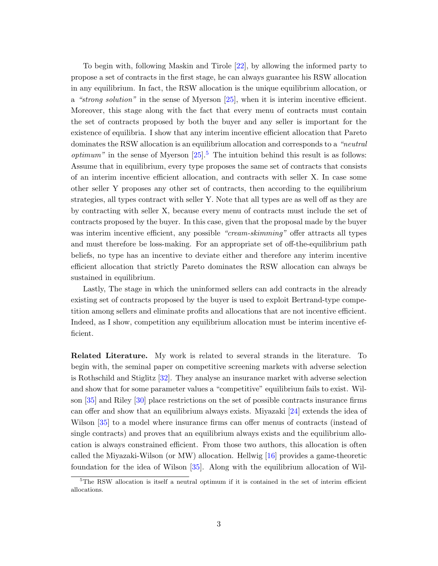To begin with, following Maskin and Tirole [\[22\]](#page-20-0), by allowing the informed party to propose a set of contracts in the first stage, he can always guarantee his RSW allocation in any equilibrium. In fact, the RSW allocation is the unique equilibrium allocation, or a "strong solution" in the sense of Myerson [\[25\]](#page-21-2), when it is interim incentive efficient. Moreover, this stage along with the fact that every menu of contracts must contain the set of contracts proposed by both the buyer and any seller is important for the existence of equilibria. I show that any interim incentive efficient allocation that Pareto dominates the RSW allocation is an equilibrium allocation and corresponds to a "neutral *optimum*" in the sense of Myerson  $[25]$  $[25]$  $[25]$ <sup>5</sup>. The intuition behind this result is as follows: Assume that in equilibrium, every type proposes the same set of contracts that consists of an interim incentive efficient allocation, and contracts with seller X. In case some other seller Y proposes any other set of contracts, then according to the equilibrium strategies, all types contract with seller Y. Note that all types are as well off as they are by contracting with seller X, because every menu of contracts must include the set of contracts proposed by the buyer. In this case, given that the proposal made by the buyer was interim incentive efficient, any possible "cream-skimming" offer attracts all types and must therefore be loss-making. For an appropriate set of off-the-equilibrium path beliefs, no type has an incentive to deviate either and therefore any interim incentive efficient allocation that strictly Pareto dominates the RSW allocation can always be sustained in equilibrium.

Lastly, The stage in which the uninformed sellers can add contracts in the already existing set of contracts proposed by the buyer is used to exploit Bertrand-type competition among sellers and eliminate profits and allocations that are not incentive efficient. Indeed, as I show, competition any equilibrium allocation must be interim incentive efficient.

Related Literature. My work is related to several strands in the literature. To begin with, the seminal paper on competitive screening markets with adverse selection is Rothschild and Stiglitz [\[32\]](#page-21-1). They analyse an insurance market with adverse selection and show that for some parameter values a "competitive" equilibrium fails to exist. Wilson [\[35\]](#page-21-3) and Riley [\[30\]](#page-21-4) place restrictions on the set of possible contracts insurance firms can offer and show that an equilibrium always exists. Miyazaki [\[24\]](#page-21-5) extends the idea of Wilson [\[35\]](#page-21-3) to a model where insurance firms can offer menus of contracts (instead of single contracts) and proves that an equilibrium always exists and the equilibrium allocation is always constrained efficient. From those two authors, this allocation is often called the Miyazaki-Wilson (or MW) allocation. Hellwig [\[16\]](#page-20-2) provides a game-theoretic foundation for the idea of Wilson [\[35\]](#page-21-3). Along with the equilibrium allocation of Wil-

<span id="page-2-0"></span> $5$ The RSW allocation is itself a neutral optimum if it is contained in the set of interim efficient allocations.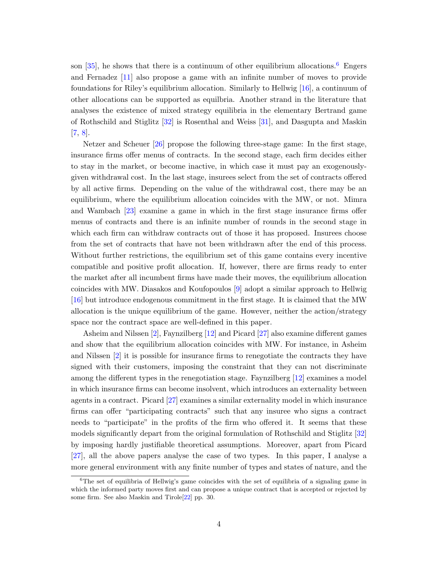son  $[35]$ , he shows that there is a continuum of other equilibrium allocations.<sup>[6](#page-3-0)</sup> Engers and Fernadez [\[11\]](#page-20-3) also propose a game with an infinite number of moves to provide foundations for Riley's equilibrium allocation. Similarly to Hellwig [\[16\]](#page-20-2), a continuum of other allocations can be supported as equilbria. Another strand in the literature that analyses the existence of mixed strategy equilibria in the elementary Bertrand game of Rothschild and Stiglitz [\[32\]](#page-21-1) is Rosenthal and Weiss [\[31\]](#page-21-6), and Dasgupta and Maskin [\[7,](#page-19-1) [8\]](#page-20-4).

Netzer and Scheuer [\[26\]](#page-21-7) propose the following three-stage game: In the first stage, insurance firms offer menus of contracts. In the second stage, each firm decides either to stay in the market, or become inactive, in which case it must pay an exogenouslygiven withdrawal cost. In the last stage, insurees select from the set of contracts offered by all active firms. Depending on the value of the withdrawal cost, there may be an equilibrium, where the equilibrium allocation coincides with the MW, or not. Mimra and Wambach [\[23\]](#page-21-8) examine a game in which in the first stage insurance firms offer menus of contracts and there is an infinite number of rounds in the second stage in which each firm can withdraw contracts out of those it has proposed. Insurees choose from the set of contracts that have not been withdrawn after the end of this process. Without further restrictions, the equilibrium set of this game contains every incentive compatible and positive profit allocation. If, however, there are firms ready to enter the market after all incumbent firms have made their moves, the equilibrium allocation coincides with MW. Diasakos and Koufopoulos [\[9\]](#page-20-5) adopt a similar approach to Hellwig [\[16\]](#page-20-2) but introduce endogenous commitment in the first stage. It is claimed that the MW allocation is the unique equilibrium of the game. However, neither the action/strategy space nor the contract space are well-defined in this paper.

Asheim and Nilssen [\[2\]](#page-19-2), Faynzilberg [\[12\]](#page-20-6) and Picard [\[27\]](#page-21-9) also examine different games and show that the equilibrium allocation coincides with MW. For instance, in Asheim and Nilssen [\[2\]](#page-19-2) it is possible for insurance firms to renegotiate the contracts they have signed with their customers, imposing the constraint that they can not discriminate among the different types in the renegotiation stage. Faynzilberg [\[12\]](#page-20-6) examines a model in which insurance firms can become insolvent, which introduces an externality between agents in a contract. Picard [\[27\]](#page-21-9) examines a similar externality model in which insurance firms can offer "participating contracts" such that any insuree who signs a contract needs to "participate" in the profits of the firm who offered it. It seems that these models significantly depart from the original formulation of Rothschild and Stiglitz [\[32\]](#page-21-1) by imposing hardly justifiable theoretical assumptions. Moreover, apart from Picard [\[27\]](#page-21-9), all the above papers analyse the case of two types. In this paper, I analyse a more general environment with any finite number of types and states of nature, and the

<span id="page-3-0"></span> ${}^{6}$ The set of equilibria of Hellwig's game coincides with the set of equilibria of a signaling game in which the informed party moves first and can propose a unique contract that is accepted or rejected by some firm. See also Maskin and Tirole[\[22\]](#page-20-0) pp. 30.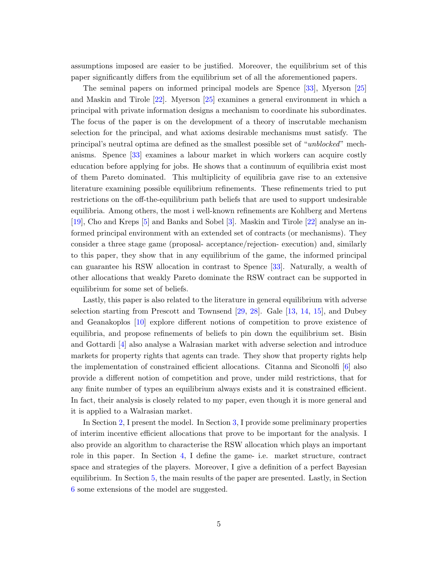assumptions imposed are easier to be justified. Moreover, the equilibrium set of this paper significantly differs from the equilibrium set of all the aforementioned papers.

The seminal papers on informed principal models are Spence [\[33\]](#page-21-0), Myerson [\[25\]](#page-21-2) and Maskin and Tirole [\[22\]](#page-20-0). Myerson [\[25\]](#page-21-2) examines a general environment in which a principal with private information designs a mechanism to coordinate his subordinates. The focus of the paper is on the development of a theory of inscrutable mechanism selection for the principal, and what axioms desirable mechanisms must satisfy. The principal's neutral optima are defined as the smallest possible set of "unblocked" mechanisms. Spence [\[33\]](#page-21-0) examines a labour market in which workers can acquire costly education before applying for jobs. He shows that a continuum of equilibria exist most of them Pareto dominated. This multiplicity of equilibria gave rise to an extensive literature examining possible equilibrium refinements. These refinements tried to put restrictions on the off-the-equilibrium path beliefs that are used to support undesirable equilibria. Among others, the most i well-known refinements are Kohlberg and Mertens [\[19\]](#page-20-7), Cho and Kreps [\[5\]](#page-19-3) and Banks and Sobel [\[3\]](#page-19-4). Maskin and Tirole [\[22\]](#page-20-0) analyse an informed principal environment with an extended set of contracts (or mechanisms). They consider a three stage game (proposal- acceptance/rejection- execution) and, similarly to this paper, they show that in any equilibrium of the game, the informed principal can guarantee his RSW allocation in contrast to Spence [\[33\]](#page-21-0). Naturally, a wealth of other allocations that weakly Pareto dominate the RSW contract can be supported in equilibrium for some set of beliefs.

Lastly, this paper is also related to the literature in general equilibrium with adverse selection starting from Prescott and Townsend [\[29,](#page-21-10) [28\]](#page-21-11). Gale [\[13,](#page-20-8) [14,](#page-20-9) [15\]](#page-20-10), and Dubey and Geanakoplos [\[10\]](#page-20-11) explore different notions of competition to prove existence of equilibria, and propose refinements of beliefs to pin down the equilibrium set. Bisin and Gottardi [\[4\]](#page-19-5) also analyse a Walrasian market with adverse selection and introduce markets for property rights that agents can trade. They show that property rights help the implementation of constrained efficient allocations. Citanna and Siconolfi [\[6\]](#page-19-6) also provide a different notion of competition and prove, under mild restrictions, that for any finite number of types an equilibrium always exists and it is constrained efficient. In fact, their analysis is closely related to my paper, even though it is more general and it is applied to a Walrasian market.

In Section [2,](#page-5-0) I present the model. In Section [3,](#page-7-0) I provide some preliminary properties of interim incentive efficient allocations that prove to be important for the analysis. I also provide an algorithm to characterise the RSW allocation which plays an important role in this paper. In Section [4,](#page-9-0) I define the game- i.e. market structure, contract space and strategies of the players. Moreover, I give a definition of a perfect Bayesian equilibrium. In Section [5,](#page-11-0) the main results of the paper are presented. Lastly, in Section [6](#page-16-0) some extensions of the model are suggested.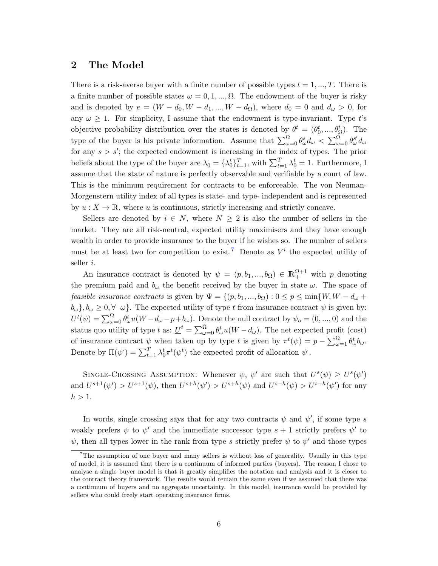# <span id="page-5-0"></span>2 The Model

There is a risk-averse buyer with a finite number of possible types  $t = 1, ..., T$ . There is a finite number of possible states  $\omega = 0, 1, ..., \Omega$ . The endowment of the buyer is risky and is denoted by  $e = (W - d_0, W - d_1, ..., W - d_\Omega)$ , where  $d_0 = 0$  and  $d_\omega > 0$ , for any  $\omega \geq 1$ . For simplicity, I assume that the endowment is type-invariant. Type t's objective probability distribution over the states is denoted by  $\theta^t = (\theta_0^t, ..., \theta_\Omega^t)$ . The type of the buyer is his private information. Assume that  $\sum_{\omega=0}^{\Omega} \theta_{\omega}^{s} d_{\omega} < \sum_{\omega=0}^{\Omega} \theta_{\omega}^{s'} d_{\omega}$ for any  $s > s'$ ; the expected endowment is increasing in the index of types. The prior beliefs about the type of the buyer are  $\lambda_0 = \{\lambda_0^t\}_{t=1}^T$ , with  $\sum_{t=1}^T \lambda_0^t = 1$ . Furthermore, I assume that the state of nature is perfectly observable and verifiable by a court of law. This is the minimum requirement for contracts to be enforceable. The von Neuman-Morgenstern utility index of all types is state- and type- independent and is represented by  $u : X \to \mathbb{R}$ , where u is continuous, strictly increasing and strictly concave.

Sellers are denoted by  $i \in N$ , where  $N \geq 2$  is also the number of sellers in the market. They are all risk-neutral, expected utility maximisers and they have enough wealth in order to provide insurance to the buyer if he wishes so. The number of sellers must be at least two for competition to exist.<sup>[7](#page-5-1)</sup> Denote as  $V^i$  the expected utility of seller i.

An insurance contract is denoted by  $\psi = (p, b_1, ..., b_\Omega) \in \mathbb{R}^{\Omega+1}_+$  with p denoting the premium paid and  $b_{\omega}$  the benefit received by the buyer in state  $\omega$ . The space of *feasible insurance contracts* is given by  $\Psi = \{(p, b_1, ..., b_{\Omega}) : 0 \leq p \leq \min\{W, W - d_{\omega} +$  $b_{\omega}$ ,  $b_{\omega} \geq 0$ ,  $\forall$   $\omega$ . The expected utility of type t from insurance contract  $\psi$  is given by:  $U^t(\psi) = \sum_{\omega=0}^{\Omega} \theta_{\omega}^t u(W - d_{\omega} - p + b_{\omega}).$  Denote the null contract by  $\psi_o = (0, ..., 0)$  and the status quo utility of type t as:  $\underline{U}^t = \sum_{\omega=0}^{\Omega} \theta_{\omega}^t u(W - d_{\omega})$ . The net expected profit (cost) of insurance contract  $\psi$  when taken up by type t is given by  $\pi^t(\psi) = p - \sum_{\omega=1}^{\Omega} \theta^t_{\omega} b_{\omega}$ . Denote by  $\Pi(\psi) = \sum_{t=1}^{T} \lambda_0^t \pi^t(\psi^t)$  the expected profit of allocation  $\psi$ .

SINGLE-CROSSING ASSUMPTION: Whenever  $\psi$ ,  $\psi'$  are such that  $U^s(\psi) \geq U^s(\psi')$ and  $U^{s+1}(\psi') > U^{s+1}(\psi)$ , then  $U^{s+h}(\psi') > U^{s+h}(\psi)$  and  $U^{s-h}(\psi) > U^{s-h}(\psi')$  for any  $h > 1$ .

In words, single crossing says that for any two contracts  $\psi$  and  $\psi'$ , if some type s weakly prefers  $\psi$  to  $\psi'$  and the immediate successor type  $s+1$  strictly prefers  $\psi'$  to  $\psi$ , then all types lower in the rank from type s strictly prefer  $\psi$  to  $\psi'$  and those types

<span id="page-5-1"></span><sup>&</sup>lt;sup>7</sup>The assumption of one buyer and many sellers is without loss of generality. Usually in this type of model, it is assumed that there is a continuum of informed parties (buyers). The reason I chose to analyse a single buyer model is that it greatly simplifies the notation and analysis and it is closer to the contract theory framework. The results would remain the same even if we assumed that there was a continuum of buyers and no aggregate uncertainty. In this model, insurance would be provided by sellers who could freely start operating insurance firms.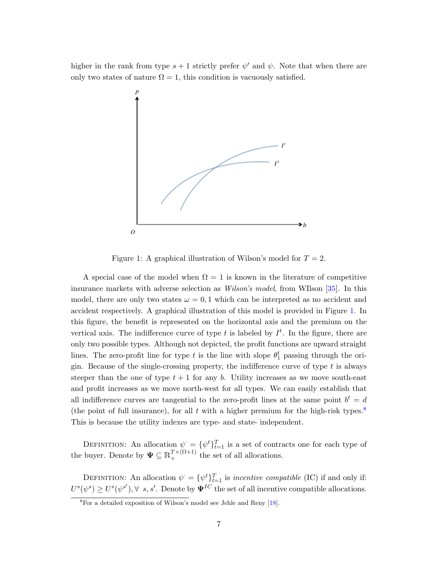higher in the rank from type  $s + 1$  strictly prefer  $\psi'$  and  $\psi$ . Note that when there are only two states of nature  $\Omega = 1$ , this condition is vacuously satisfied.



<span id="page-6-0"></span>Figure 1: A graphical illustration of Wilson's model for  $T = 2$ .

A special case of the model when  $\Omega = 1$  is known in the literature of competitive insurance markets with adverse selection as Wilson's model, from WIlson [\[35\]](#page-21-3). In this model, there are only two states  $\omega = 0, 1$  which can be interpreted as no accident and accident respectively. A graphical illustration of this model is provided in Figure [1.](#page-6-0) In this figure, the benefit is represented on the horizontal axis and the premium on the vertical axis. The indifference curve of type t is labeled by  $I<sup>t</sup>$ . In the figure, there are only two possible types. Although not depicted, the profit functions are upward straight lines. The zero-profit line for type t is the line with slope  $\theta_1^t$  passing through the origin. Because of the single-crossing property, the indifference curve of type  $t$  is always steeper than the one of type  $t + 1$  for any b. Utility increases as we move south-east and profit increases as we move north-west for all types. We can easily establish that all indifference curves are tangential to the zero-profit lines at the same point  $b^t = d$ (the point of full insurance), for all t with a higher premium for the high-risk types.<sup>[8](#page-6-1)</sup> This is because the utility indexes are type- and state- independent.

DEFINITION: An allocation  $\psi = {\psi^t}_{t=1}^T$  is a set of contracts one for each type of the buyer. Denote by  $\Psi \subseteq \mathbb{R}_+^{T \times (\Omega+1)}$  the set of all allocations.

DEFINITION: An allocation  $\psi = {\psi^t}_{t=1}^T$  is incentive compatible (IC) if and only if:  $U^s(\psi^s) \geq U^s(\psi^{s'})$ ,  $\forall s, s'$ . Denote by  $\Psi^{IC}$  the set of all incentive compatible allocations.

<span id="page-6-1"></span><sup>8</sup>For a detailed exposition of Wilson's model see Jehle and Reny [\[18\]](#page-20-12).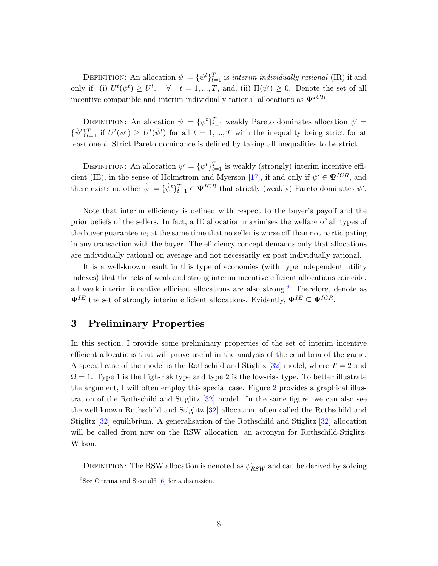DEFINITION: An allocation  $\psi = {\psi^t}_{t=1}^T$  is *interim individually rational* (IR) if and only if: (i)  $U^t(\psi^t) \geq \underline{U}^t$ ,  $\forall$   $t = 1, ..., T$ , and, (ii)  $\Pi(\psi^t) \geq 0$ . Denote the set of all incentive compatible and interim individually rational allocations as  $\Psi^{ICR}$ .

DEFINITION: An alocation  $\psi = {\psi^t}_{t=1}^T$  weakly Pareto dominates allocation  $\hat{\psi}$  =  $\{\hat{\psi}^t\}_{t=1}^T$  if  $U^t(\psi^t) \geq U^t(\hat{\psi}^t)$  for all  $t=1,...,T$  with the inequality being strict for at least one t. Strict Pareto dominance is defined by taking all inequalities to be strict.

DEFINITION: An allocation  $\psi = {\psi^t}_{t=1}^T$  is weakly (strongly) interim incentive effi-cient (IE), in the sense of Holmstrom and Myerson [\[17\]](#page-20-1), if and only if  $\psi \in \Psi^{ICR}$ , and there exists no other  $\tilde{\psi} = {\{\tilde{\psi}^t\}}_{t=1}^T \in \Psi^{ICR}$  that strictly (weakly) Pareto dominates  $\psi$ .

Note that interim efficiency is defined with respect to the buyer's payoff and the prior beliefs of the sellers. In fact, a IE allocation maximises the welfare of all types of the buyer guaranteeing at the same time that no seller is worse off than not participating in any transaction with the buyer. The efficiency concept demands only that allocations are individually rational on average and not necessarily ex post individually rational.

It is a well-known result in this type of economies (with type independent utility indexes) that the sets of weak and strong interim incentive efficient allocations coincide; all weak interim incentive efficient allocations are also strong.<sup>[9](#page-7-1)</sup> Therefore, denote as  $\Psi^{IE}$  the set of strongly interim efficient allocations. Evidently,  $\Psi^{IE} \subseteq \Psi^{ICR}$ .

# <span id="page-7-0"></span>3 Preliminary Properties

In this section, I provide some preliminary properties of the set of interim incentive efficient allocations that will prove useful in the analysis of the equilibria of the game. A special case of the model is the Rothschild and Stiglitz [\[32\]](#page-21-1) model, where  $T = 2$  and  $\Omega = 1$ . Type 1 is the high-risk type and type 2 is the low-risk type. To better illustrate the argument, I will often employ this special case. Figure [2](#page-8-0) provides a graphical illustration of the Rothschild and Stiglitz [\[32\]](#page-21-1) model. In the same figure, we can also see the well-known Rothschild and Stiglitz [\[32\]](#page-21-1) allocation, often called the Rothschild and Stiglitz [\[32\]](#page-21-1) equilibrium. A generalisation of the Rothschild and Stiglitz [\[32\]](#page-21-1) allocation will be called from now on the RSW allocation; an acronym for Rothschild-Stiglitz-Wilson.

DEFINITION: The RSW allocation is denoted as  $\psi_{RSW}$  and can be derived by solving

<span id="page-7-1"></span> ${}^{9}$ See Citanna and Siconolfi [\[6\]](#page-19-6) for a discussion.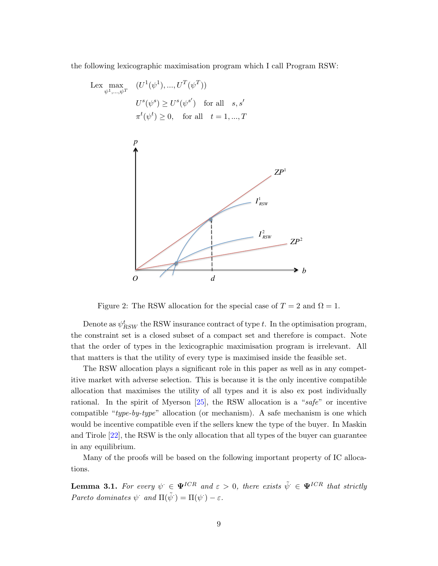the following lexicographic maximisation program which I call Program RSW:

$$
\begin{aligned}\n\text{Lex } \max_{\psi^1, \dots, \psi^T} & (U^1(\psi^1), \dots, U^T(\psi^T)) \\
& U^s(\psi^s) \ge U^s(\psi^{s'}) \quad \text{for all} \quad s, s' \\
& \pi^t(\psi^t) \ge 0, \quad \text{for all} \quad t = 1, \dots, T\n\end{aligned}
$$



<span id="page-8-0"></span>Figure 2: The RSW allocation for the special case of  $T = 2$  and  $\Omega = 1$ .

Denote as  $\psi^t_{RSW}$  the RSW insurance contract of type t. In the optimisation program, the constraint set is a closed subset of a compact set and therefore is compact. Note that the order of types in the lexicographic maximisation program is irrelevant. All that matters is that the utility of every type is maximised inside the feasible set.

The RSW allocation plays a significant role in this paper as well as in any competitive market with adverse selection. This is because it is the only incentive compatible allocation that maximises the utility of all types and it is also ex post individually rational. In the spirit of Myerson [\[25\]](#page-21-2), the RSW allocation is a "safe" or incentive compatible "type-by-type" allocation (or mechanism). A safe mechanism is one which would be incentive compatible even if the sellers knew the type of the buyer. In Maskin and Tirole [\[22\]](#page-20-0), the RSW is the only allocation that all types of the buyer can guarantee in any equilibrium.

Many of the proofs will be based on the following important property of IC allocations.

<span id="page-8-1"></span>**Lemma 3.1.** For every  $\psi \in \Psi^{ICR}$  and  $\varepsilon > 0$ , there exists  $\tilde{\psi} \in \Psi^{ICR}$  that strictly Pareto dominates  $\psi$  and  $\Pi(\tilde{\psi}) = \Pi(\psi) - \varepsilon$ .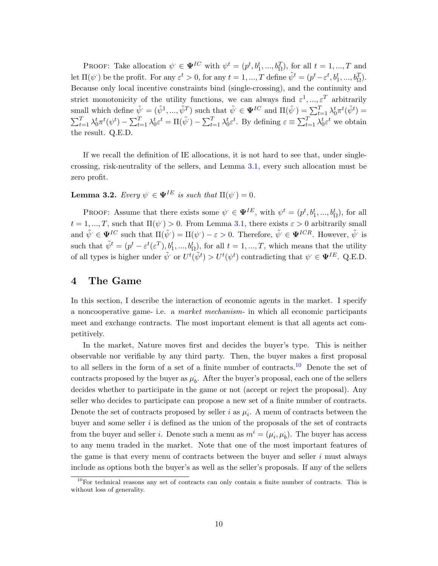PROOF: Take allocation  $\psi \in \Psi^{IC}$  with  $\psi^t = (p^t, b_1^t, ..., b_{\Omega}^T)$ , for all  $t = 1, ..., T$  and let  $\Pi(\psi)$  be the profit. For any  $\varepsilon^t > 0$ , for any  $t = 1, ..., T$  define  $\tilde{\psi}^t = (p^t - \varepsilon^t, b_1^t, ..., b_{\Omega}^T)$ . Because only local incentive constraints bind (single-crossing), and the continuity and strict monotonicity of the utility functions, we can always find  $\varepsilon^1, ..., \varepsilon^T$  arbitrarily small which define  $\tilde{\psi} = (\tilde{\psi}^1, ..., \tilde{\psi}^T)$  such that  $\tilde{\psi} \in \mathbf{\Psi}^{IC}$  and  $\Pi(\tilde{\psi}^r) = \sum_{t=1}^T \lambda_0^t \pi^t(\tilde{\psi}^t) =$  $\sum_{t=1}^{T} \lambda_0^t \pi^t(\psi^t) - \sum_{t=1}^{T} \lambda_0^t \varepsilon^t = \Pi(\tilde{\psi}^t) - \sum_{t=1}^{T} \lambda_0^t \varepsilon^t$ . By defining  $\varepsilon \equiv \sum_{t=1}^{T} \lambda_0^t \varepsilon^t$  we obtain the result. Q.E.D.

If we recall the definition of IE allocations, it is not hard to see that, under singlecrossing, risk-neutrality of the sellers, and Lemma [3.1,](#page-8-1) every such allocation must be zero profit.

<span id="page-9-2"></span>**Lemma 3.2.** Every  $\psi \in \Psi^{IE}$  is such that  $\Pi(\psi) = 0$ .

PROOF: Assume that there exists some  $\psi \in \Psi^{IE}$ , with  $\psi^t = (p^t, b_1^t, ..., b_\Omega^t)$ , for all  $t = 1, ..., T$ , such that  $\Pi(\psi) > 0$ . From Lemma [3.1,](#page-8-1) there exists  $\varepsilon > 0$  arbitrarily small and  $\tilde{\psi} \in \mathbf{\Psi}^{IC}$  such that  $\Pi(\tilde{\psi}) = \Pi(\psi) - \varepsilon > 0$ . Therefore,  $\tilde{\psi} \in \mathbf{\Psi}^{ICR}$ . However,  $\tilde{\psi}$  is such that  $\tilde{\psi}^t = (p^t - \varepsilon^t(\varepsilon^T), b_1^t, ..., b_{\Omega}^t)$ , for all  $t = 1, ..., T$ , which means that the utility of all types is higher under  $\tilde{\psi}$  or  $U^t(\tilde{\psi}^t) > U^t(\psi^t)$  contradicting that  $\psi \in \mathbf{\Psi}^{IE}$ . Q.E.D.

# <span id="page-9-0"></span>4 The Game

In this section, I describe the interaction of economic agents in the market. I specify a noncooperative game- i.e. a market mechanism- in which all economic participants meet and exchange contracts. The most important element is that all agents act competitively.

In the market, Nature moves first and decides the buyer's type. This is neither observable nor verifiable by any third party. Then, the buyer makes a first proposal to all sellers in the form of a set of a finite number of contracts.[10](#page-9-1) Denote the set of contracts proposed by the buyer as  $\mu_b$ . After the buyer's proposal, each one of the sellers decides whether to participate in the game or not (accept or reject the proposal). Any seller who decides to participate can propose a new set of a finite number of contracts. Denote the set of contracts proposed by seller i as  $\mu_i$ . A menu of contracts between the buyer and some seller  $i$  is defined as the union of the proposals of the set of contracts from the buyer and seller *i*. Denote such a menu as  $m^i = (\mu_i, \mu_b)$ . The buyer has access to any menu traded in the market. Note that one of the most important features of the game is that every menu of contracts between the buyer and seller  $i$  must always include as options both the buyer's as well as the seller's proposals. If any of the sellers

<span id="page-9-1"></span><sup>&</sup>lt;sup>10</sup>For technical reasons any set of contracts can only contain a finite number of contracts. This is without loss of generality.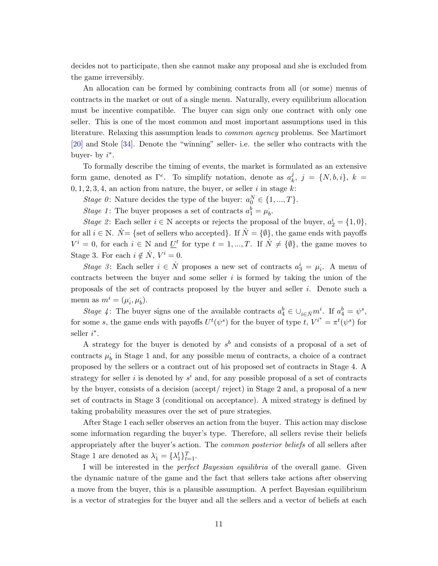decides not to participate, then she cannot make any proposal and she is excluded from the game irreversibly.

An allocation can be formed by combining contracts from all (or some) menus of contracts in the market or out of a single menu. Naturally, every equilibrium allocation must be incentive compatible. The buyer can sign only one contract with only one seller. This is one of the most common and most important assumptions used in this literature. Relaxing this assumption leads to common agency problems. See Martimort [\[20\]](#page-20-13) and Stole [\[34\]](#page-21-12). Denote the "winning" seller- i.e. the seller who contracts with the buyer- by  $i^*$ .

To formally describe the timing of events, the market is formulated as an extensive form game, denoted as  $\Gamma^e$ . To simplify notation, denote as  $a_k^j$  $\frac{j}{k}, \; j \; = \; \{N, b, i\}, \; k \; =$  $0, 1, 2, 3, 4$ , an action from nature, the buyer, or seller i in stage k:

Stage 0: Nature decides the type of the buyer:  $a_0^N \in \{1, ..., T\}$ .

Stage 1: The buyer proposes a set of contracts  $a_1^b = \mu_b^b$ .

Stage 2: Each seller  $i \in \mathbb{N}$  accepts or rejects the proposal of the buyer,  $a_2^i = \{1, 0\}$ , for all  $i \in \mathbb{N}$ .  $\dot{N} = \{$ set of sellers who accepted}. If  $\dot{N} = \{\emptyset\}$ , the game ends with payoffs  $V^i = 0$ , for each  $i \in \mathbb{N}$  and  $\underline{U}^t$  for type  $t = 1, ..., T$ . If  $\dot{N} \neq {\emptyset}$ , the game moves to Stage 3. For each  $i \notin \dot{N}$ ,  $V^i = 0$ .

Stage 3: Each seller  $i \in \mathring{N}$  proposes a new set of contracts  $a_3^i = \mu_i$ . A menu of contracts between the buyer and some seller  $i$  is formed by taking the union of the proposals of the set of contracts proposed by the buyer and seller i. Denote such a menu as  $m^i = (\mu_i, \mu_b)$ .

Stage 4: The buyer signs one of the available contracts  $a_4^b \in \bigcup_{i \in \tilde{N}} m^i$ . If  $a_4^b = \psi^s$ , for some s, the game ends with payoffs  $U^t(\psi^s)$  for the buyer of type t,  $V^{i^*} = \pi^t(\psi^s)$  for seller  $i^*$ .

A strategy for the buyer is denoted by  $s^b$  and consists of a proposal of a set of contracts  $\mu_b$  in Stage 1 and, for any possible menu of contracts, a choice of a contract proposed by the sellers or a contract out of his proposed set of contracts in Stage 4. A strategy for seller i is denoted by  $s^i$  and, for any possible proposal of a set of contracts by the buyer, consists of a decision (accept/ reject) in Stage 2 and, a proposal of a new set of contracts in Stage 3 (conditional on acceptance). A mixed strategy is defined by taking probability measures over the set of pure strategies.

After Stage 1 each seller observes an action from the buyer. This action may disclose some information regarding the buyer's type. Therefore, all sellers revise their beliefs appropriately after the buyer's action. The common posterior beliefs of all sellers after Stage 1 are denoted as  $\lambda_1 = {\lambda_1^t}_{t=1}^T$ .

I will be interested in the perfect Bayesian equilibria of the overall game. Given the dynamic nature of the game and the fact that sellers take actions after observing a move from the buyer, this is a plausible assumption. A perfect Bayesian equilibrium is a vector of strategies for the buyer and all the sellers and a vector of beliefs at each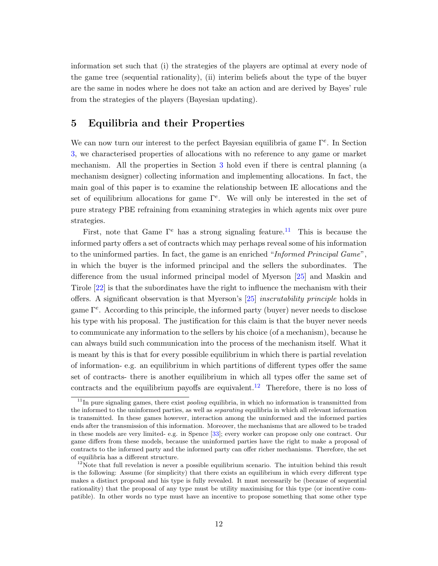information set such that (i) the strategies of the players are optimal at every node of the game tree (sequential rationality), (ii) interim beliefs about the type of the buyer are the same in nodes where he does not take an action and are derived by Bayes' rule from the strategies of the players (Bayesian updating).

# <span id="page-11-0"></span>5 Equilibria and their Properties

We can now turn our interest to the perfect Bayesian equilibria of game  $\Gamma^e$ . In Section [3,](#page-7-0) we characterised properties of allocations with no reference to any game or market mechanism. All the properties in Section [3](#page-7-0) hold even if there is central planning (a mechanism designer) collecting information and implementing allocations. In fact, the main goal of this paper is to examine the relationship between IE allocations and the set of equilibrium allocations for game  $\Gamma^e$ . We will only be interested in the set of pure strategy PBE refraining from examining strategies in which agents mix over pure strategies.

First, note that Game  $\Gamma^e$  has a strong signaling feature.<sup>[11](#page-11-1)</sup> This is because the informed party offers a set of contracts which may perhaps reveal some of his information to the uninformed parties. In fact, the game is an enriched "Informed Principal Game", in which the buyer is the informed principal and the sellers the subordinates. The difference from the usual informed principal model of Myerson [\[25\]](#page-21-2) and Maskin and Tirole [\[22\]](#page-20-0) is that the subordinates have the right to influence the mechanism with their offers. A significant observation is that Myerson's [\[25\]](#page-21-2) inscrutability principle holds in game  $\Gamma^e$ . According to this principle, the informed party (buyer) never needs to disclose his type with his proposal. The justification for this claim is that the buyer never needs to communicate any information to the sellers by his choice (of a mechanism), because he can always build such communication into the process of the mechanism itself. What it is meant by this is that for every possible equilibrium in which there is partial revelation of information- e.g. an equilibrium in which partitions of different types offer the same set of contracts- there is another equilibrium in which all types offer the same set of contracts and the equilibrium payoffs are equivalent.<sup>[12](#page-11-2)</sup> Therefore, there is no loss of

<span id="page-11-1"></span> $11$ In pure signaling games, there exist *pooling* equilibria, in which no information is transmitted from the informed to the uninformed parties, as well as *separating* equilibria in which all relevant information is transmitted. In these games however, interaction among the uninformed and the informed parties ends after the transmission of this information. Moreover, the mechanisms that are allowed to be traded in these models are very limited- e.g. in Spence [\[33\]](#page-21-0); every worker can propose only one contract. Our game differs from these models, because the uninformed parties have the right to make a proposal of contracts to the informed party and the informed party can offer richer mechanisms. Therefore, the set of equilibria has a different structure.

<span id="page-11-2"></span> $12$ Note that full revelation is never a possible equilibrium scenario. The intuition behind this result is the following: Assume (for simplicity) that there exists an equilibrium in which every different type makes a distinct proposal and his type is fully revealed. It must necessarily be (because of sequential rationality) that the proposal of any type must be utility maximising for this type (or incentive compatible). In other words no type must have an incentive to propose something that some other type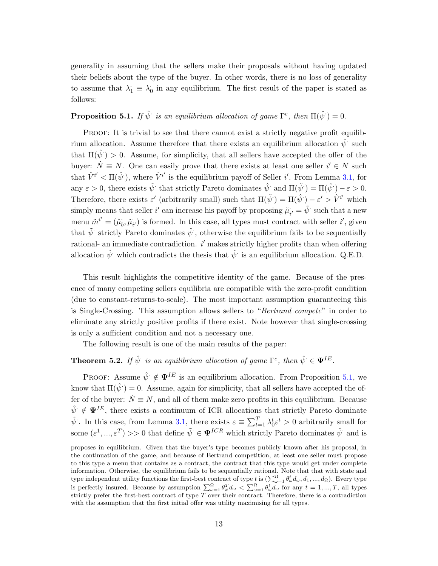generality in assuming that the sellers make their proposals without having updated their beliefs about the type of the buyer. In other words, there is no loss of generality to assume that  $\lambda_1 \equiv \lambda_0$  in any equilibrium. The first result of the paper is stated as follows:

# <span id="page-12-0"></span>**Proposition 5.1.** If  $\hat{\psi}$  is an equilibrium allocation of game  $\Gamma^e$ , then  $\Pi(\hat{\psi}) = 0$ .

PROOF: It is trivial to see that there cannot exist a strictly negative profit equilibrium allocation. Assume therefore that there exists an equilibrium allocation  $\hat{\psi}$  such that  $\Pi(\hat{\psi}) > 0$ . Assume, for simplicity, that all sellers have accepted the offer of the buyer:  $\dot{N} \equiv N$ . One can easily prove that there exists at least one seller  $i' \in N$  such that  $\hat{V}^{i'} < \Pi(\hat{\psi})$ , where  $\hat{V}^{i'}$  is the equilibrium payoff of Seller i'. From Lemma [3.1,](#page-8-1) for any  $\varepsilon > 0$ , there exists  $\tilde{\psi}$  that strictly Pareto dominates  $\hat{\psi}$  and  $\Pi(\tilde{\psi}) = \Pi(\hat{\psi}) - \varepsilon > 0$ . Therefore, there exists  $\varepsilon'$  (arbitrarily small) such that  $\Pi(\tilde{\psi}) = \Pi(\hat{\psi}) - \varepsilon' > \hat{V}^{i'}$  which simply means that seller i' can increase his payoff by proposing  $\tilde{\mu}_{i'} = \tilde{\psi}$  such that a new menu  $\tilde{m}^{i'} = (\hat{\mu}_b, \tilde{\mu}_{i'})$  is formed. In this case, all types must contract with seller  $i'$ , given that  $\tilde{\psi}$  strictly Pareto dominates  $\hat{\psi}$ , otherwise the equilibrium fails to be sequentially rational- an immediate contradiction.  $i'$  makes strictly higher profits than when offering allocation  $\hat{\psi}$  which contradicts the thesis that  $\hat{\psi}$  is an equilibrium allocation. Q.E.D.

This result highlights the competitive identity of the game. Because of the presence of many competing sellers equilibria are compatible with the zero-profit condition (due to constant-returns-to-scale). The most important assumption guaranteeing this is Single-Crossing. This assumption allows sellers to "Bertrand compete" in order to eliminate any strictly positive profits if there exist. Note however that single-crossing is only a sufficient condition and not a necessary one.

The following result is one of the main results of the paper:

# <span id="page-12-1"></span>**Theorem 5.2.** If  $\hat{\psi}$  is an equilibrium allocation of game  $\Gamma^e$ , then  $\hat{\psi} \in \Psi^{IE}$ .

PROOF: Assume  $\hat{\psi} \notin \Psi^{IE}$  is an equilibrium allocation. From Proposition [5.1,](#page-12-0) we know that  $\Pi(\hat{\psi}) = 0$ . Assume, again for simplicity, that all sellers have accepted the offer of the buyer:  $\dot{N} \equiv N$ , and all of them make zero profits in this equilibrium. Because  $\hat{\psi} \notin \Psi^{IE}$ , there exists a continuum of ICR allocations that strictly Pareto dominate  $\hat{\psi}$ . In this case, from Lemma [3.1,](#page-8-1) there exists  $\varepsilon \equiv \sum_{t=1}^{T} \lambda_0^t \varepsilon^t > 0$  arbitrarily small for some  $(\varepsilon^1, ..., \varepsilon^T) >> 0$  that define  $\tilde{\psi} \in \Psi^{ICR}$  which strictly Pareto dominates  $\hat{\psi}$  and is

proposes in equilibrium. Given that the buyer's type becomes publicly known after his proposal, in the continuation of the game, and because of Bertrand competition, at least one seller must propose to this type a menu that contains as a contract, the contract that this type would get under complete information. Otherwise, the equilibrium fails to be sequentially rational. Note that that with state and type independent utility functions the first-best contract of type  $\iota$  is  $(\sum_{\omega=1}^{\Omega} \theta_{\omega}^t d_{\omega}, d_1, ..., d_{\Omega})$ . Every type is perfectly insured. Because by assumption  $\sum_{\omega=1}^{\Omega} \theta_{\omega}^T d_{\omega} < \sum_{\omega=1}^{\Omega} \theta_{\omega}^t d_{\omega}$  for any  $t = 1, ..., T$ , all types strictly prefer the first-best contract of type  $\overline{T}$  over their contract. Therefore, there is a contradiction with the assumption that the first initial offer was utility maximising for all types.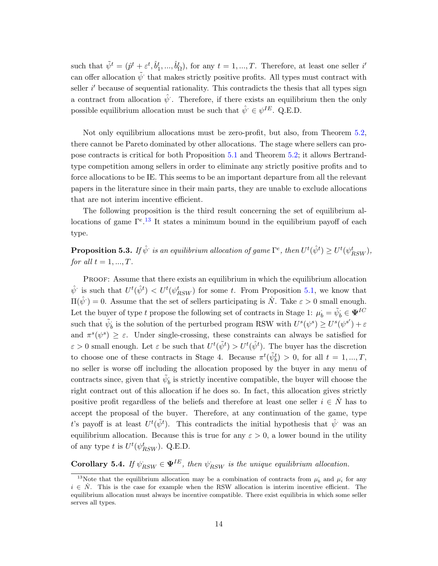such that  $\tilde{\psi}^t = (\hat{p}^t + \varepsilon^t, \hat{b}_1^t, ..., \hat{b}_\Omega^t)$ , for any  $t = 1, ..., T$ . Therefore, at least one seller i' can offer allocation  $\tilde{\psi}$  that makes strictly positive profits. All types must contract with seller  $i'$  because of sequential rationality. This contradicts the thesis that all types sign a contract from allocation  $\hat{\psi}$ . Therefore, if there exists an equilibrium then the only possible equilibrium allocation must be such that  $\hat{\psi} \in \psi^{IE}$ . Q.E.D.

Not only equilibrium allocations must be zero-profit, but also, from Theorem [5.2,](#page-12-1) there cannot be Pareto dominated by other allocations. The stage where sellers can propose contracts is critical for both Proposition [5.1](#page-12-0) and Theorem [5.2;](#page-12-1) it allows Bertrandtype competition among sellers in order to eliminate any strictly positive profits and to force allocations to be IE. This seems to be an important departure from all the relevant papers in the literature since in their main parts, they are unable to exclude allocations that are not interim incentive efficient.

The following proposition is the third result concerning the set of equilibrium allocations of game  $\Gamma^{e}$ .<sup>[13](#page-13-0)</sup> It states a minimum bound in the equilibrium payoff of each type.

<span id="page-13-1"></span>**Proposition 5.3.** If  $\hat{\psi}$  is an equilibrium allocation of game  $\Gamma^e$ , then  $U^t(\hat{\psi}^t) \geq U^t(\psi^t_{RSW})$ , for all  $t = 1, ..., T$ .

Proof: Assume that there exists an equilibrium in which the equilibrium allocation  $\hat{\psi}$  is such that  $U^t(\hat{\psi}^t) < U^t(\psi^t_{RSW})$  for some t. From Proposition [5.1,](#page-12-0) we know that  $\Pi(\hat{\psi}) = 0$ . Assume that the set of sellers participating is  $\dot{N}$ . Take  $\varepsilon > 0$  small enough. Let the buyer of type t propose the following set of contracts in Stage 1:  $\mu_b^{\cdot} = \tilde{\psi}_b^{\cdot} \in \Psi^{IC}$ such that  $\tilde{\psi}_b$  is the solution of the perturbed program RSW with  $U^s(\psi^s) \geq U^s(\psi^{s'}) + \varepsilon$ and  $\pi^s(\psi^s) \geq \varepsilon$ . Under single-crossing, these constraints can always be satisfied for  $\varepsilon > 0$  small enough. Let  $\varepsilon$  be such that  $U^t(\tilde{\psi}^t) > U^t(\hat{\psi}^t)$ . The buyer has the discretion to choose one of these contracts in Stage 4. Because  $\pi^t(\tilde{\psi}_b^t) > 0$ , for all  $t = 1, ..., T$ , no seller is worse off including the allocation proposed by the buyer in any menu of contracts since, given that  $\tilde{\psi}_b$  is strictly incentive compatible, the buyer will choose the right contract out of this allocation if he does so. In fact, this allocation gives strictly positive profit regardless of the beliefs and therefore at least one seller  $i \in N$  has to accept the proposal of the buyer. Therefore, at any continuation of the game, type t's payoff is at least  $U^t(\tilde{\psi}^t)$ . This contradicts the initial hypothesis that  $\hat{\psi}$  was an equilibrium allocation. Because this is true for any  $\varepsilon > 0$ , a lower bound in the utility of any type t is  $U^t(\psi_{RSW}^t)$ . Q.E.D.

**Corollary 5.4.** If  $\psi_{RSW} \in \Psi^{IE}$ , then  $\psi_{RSW}$  is the unique equilibrium allocation.

<span id="page-13-0"></span><sup>&</sup>lt;sup>13</sup>Note that the equilibrium allocation may be a combination of contracts from  $\mu_b$  and  $\mu_i$  for any  $i \in N$ . This is the case for example when the RSW allocation is interim incentive efficient. The equilibrium allocation must always be incentive compatible. There exist equilibria in which some seller serves all types.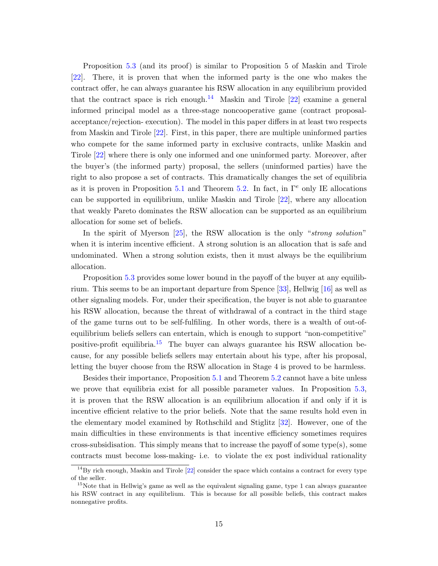Proposition [5.3](#page-13-1) (and its proof) is similar to Proposition 5 of Maskin and Tirole [\[22\]](#page-20-0). There, it is proven that when the informed party is the one who makes the contract offer, he can always guarantee his RSW allocation in any equilibrium provided that the contract space is rich enough.<sup>[14](#page-14-0)</sup> Maskin and Tirole  $[22]$  examine a general informed principal model as a three-stage noncooperative game (contract proposalacceptance/rejection- execution). The model in this paper differs in at least two respects from Maskin and Tirole [\[22\]](#page-20-0). First, in this paper, there are multiple uninformed parties who compete for the same informed party in exclusive contracts, unlike Maskin and Tirole [\[22\]](#page-20-0) where there is only one informed and one uninformed party. Moreover, after the buyer's (the informed party) proposal, the sellers (uninformed parties) have the right to also propose a set of contracts. This dramatically changes the set of equilibria as it is proven in Proposition [5.1](#page-12-0) and Theorem [5.2.](#page-12-1) In fact, in  $\Gamma^e$  only IE allocations can be supported in equilibrium, unlike Maskin and Tirole [\[22\]](#page-20-0), where any allocation that weakly Pareto dominates the RSW allocation can be supported as an equilibrium allocation for some set of beliefs.

In the spirit of Myerson [\[25\]](#page-21-2), the RSW allocation is the only "strong solution" when it is interim incentive efficient. A strong solution is an allocation that is safe and undominated. When a strong solution exists, then it must always be the equilibrium allocation.

Proposition [5.3](#page-13-1) provides some lower bound in the payoff of the buyer at any equilibrium. This seems to be an important departure from Spence [\[33\]](#page-21-0), Hellwig [\[16\]](#page-20-2) as well as other signaling models. For, under their specification, the buyer is not able to guarantee his RSW allocation, because the threat of withdrawal of a contract in the third stage of the game turns out to be self-fulfiling. In other words, there is a wealth of out-ofequilibrium beliefs sellers can entertain, which is enough to support "non-competitive" positive-profit equilibria.<sup>[15](#page-14-1)</sup> The buyer can always guarantee his RSW allocation because, for any possible beliefs sellers may entertain about his type, after his proposal, letting the buyer choose from the RSW allocation in Stage 4 is proved to be harmless.

Besides their importance, Proposition [5.1](#page-12-0) and Theorem [5.2](#page-12-1) cannot have a bite unless we prove that equilibria exist for all possible parameter values. In Proposition [5.3,](#page-13-1) it is proven that the RSW allocation is an equilibrium allocation if and only if it is incentive efficient relative to the prior beliefs. Note that the same results hold even in the elementary model examined by Rothschild and Stiglitz [\[32\]](#page-21-1). However, one of the main difficulties in these environments is that incentive efficiency sometimes requires cross-subsidisation. This simply means that to increase the payoff of some type(s), some contracts must become loss-making- i.e. to violate the ex post individual rationality

<span id="page-14-0"></span> $14\text{By rich enough},$  Maskin and Tirole [\[22\]](#page-20-0) consider the space which contains a contract for every type of the seller.

<span id="page-14-1"></span><sup>&</sup>lt;sup>15</sup>Note that in Hellwig's game as well as the equivalent signaling game, type 1 can always guarantee his RSW contract in any equilibrlium. This is because for all possible beliefs, this contract makes nonnegative profits.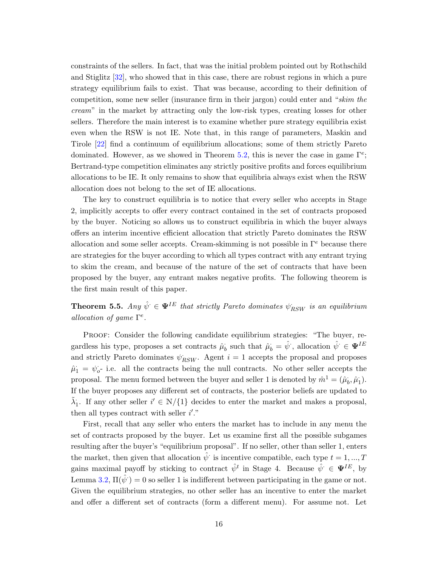constraints of the sellers. In fact, that was the initial problem pointed out by Rothschild and Stiglitz [\[32\]](#page-21-1), who showed that in this case, there are robust regions in which a pure strategy equilibrium fails to exist. That was because, according to their definition of competition, some new seller (insurance firm in their jargon) could enter and "skim the cream" in the market by attracting only the low-risk types, creating losses for other sellers. Therefore the main interest is to examine whether pure strategy equilibria exist even when the RSW is not IE. Note that, in this range of parameters, Maskin and Tirole [\[22\]](#page-20-0) find a continuum of equilibrium allocations; some of them strictly Pareto dominated. However, as we showed in Theorem [5.2,](#page-12-1) this is never the case in game  $\Gamma^e$ ; Bertrand-type competition eliminates any strictly positive profits and forces equilibrium allocations to be IE. It only remains to show that equilibria always exist when the RSW allocation does not belong to the set of IE allocations.

The key to construct equilibria is to notice that every seller who accepts in Stage 2, implicitly accepts to offer every contract contained in the set of contracts proposed by the buyer. Noticing so allows us to construct equilibria in which the buyer always offers an interim incentive efficient allocation that strictly Pareto dominates the RSW allocation and some seller accepts. Cream-skimming is not possible in  $\Gamma^e$  because there are strategies for the buyer according to which all types contract with any entrant trying to skim the cream, and because of the nature of the set of contracts that have been proposed by the buyer, any entrant makes negative profits. The following theorem is the first main result of this paper.

**Theorem 5.5.** Any  $\hat{\psi} \in \Psi^{IE}$  that strictly Pareto dominates  $\psi_{RSW}$  is an equilibrium allocation of game  $\Gamma^e$ .

Proof: Consider the following candidate equilibrium strategies: "The buyer, regardless his type, proposes a set contracts  $\hat{\mu}_b$  such that  $\hat{\mu}_b = \hat{\psi}$ , allocation  $\hat{\psi} \in \mathbf{\Psi}^{IE}$ and strictly Pareto dominates  $\psi_{RSW}$ . Agent  $i = 1$  accepts the proposal and proposes  $\hat{\mu}_1 = \psi_o$ - i.e. all the contracts being the null contracts. No other seller accepts the proposal. The menu formed between the buyer and seller 1 is denoted by  $\hat{m}^1 = (\hat{\mu}_b, \hat{\mu}_1)$ . If the buyer proposes any different set of contracts, the posterior beliefs are updated to  $\tilde{\lambda}_1$ . If any other seller  $i' \in N/\{1\}$  decides to enter the market and makes a proposal, then all types contract with seller  $i'$ ."

First, recall that any seller who enters the market has to include in any menu the set of contracts proposed by the buyer. Let us examine first all the possible subgames resulting after the buyer's "equilibrium proposal". If no seller, other than seller 1, enters the market, then given that allocation  $\hat{\psi}$  is incentive compatible, each type  $t = 1, ..., T$ gains maximal payoff by sticking to contract  $\hat{\psi}^t$  in Stage 4. Because  $\hat{\psi} \in \mathbf{\Psi}^{IE}$ , by Lemma [3.2,](#page-9-2)  $\Pi(\hat{\psi}) = 0$  so seller 1 is indifferent between participating in the game or not. Given the equilibrium strategies, no other seller has an incentive to enter the market and offer a different set of contracts (form a different menu). For assume not. Let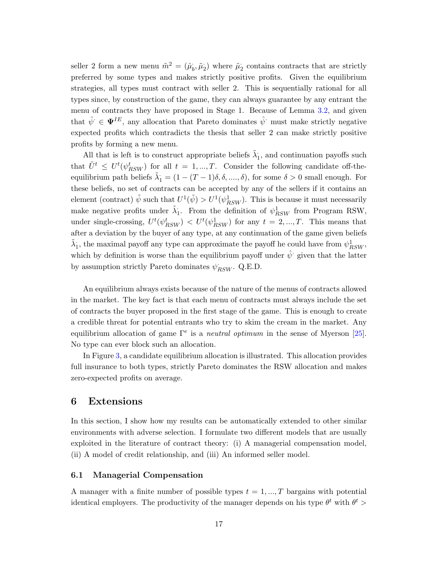seller 2 form a new menu  $\tilde{m}^2 = (\hat{\mu}_b, \tilde{\mu}_2)$  where  $\tilde{\mu}_2$  contains contracts that are strictly preferred by some types and makes strictly positive profits. Given the equilibrium strategies, all types must contract with seller 2. This is sequentially rational for all types since, by construction of the game, they can always guarantee by any entrant the menu of contracts they have proposed in Stage 1. Because of Lemma [3.2,](#page-9-2) and given that  $\hat{\psi} \in \Psi^{IE}$ , any allocation that Pareto dominates  $\hat{\psi}$  must make strictly negative expected profits which contradicts the thesis that seller 2 can make strictly positive profits by forming a new menu.

All that is left is to construct appropriate beliefs  $\tilde{\lambda}_1$ , and continuation payoffs such that  $\tilde{U}^t \leq U^t(\psi_{RSW}^t)$  for all  $t = 1, ..., T$ . Consider the following candidate off-theequilibrium path beliefs  $\tilde{\lambda}_1 = (1 - (T - 1)\delta, \delta, \dots, \delta)$ , for some  $\delta > 0$  small enough. For these beliefs, no set of contracts can be accepted by any of the sellers if it contains an element (contract)  $\tilde{\psi}$  such that  $U^1(\tilde{\psi}) > U^1(\psi_{RSW}^1)$ . This is because it must necessarily make negative profits under  $\tilde{\lambda}_1$ . From the definition of  $\psi_{RSW}^1$  from Program RSW, under single-crossing,  $U^t(\psi_{RSW}^t) < U^t(\psi_{RSW}^1)$  for any  $t = 2, ..., T$ . This means that after a deviation by the buyer of any type, at any continuation of the game given beliefs  $\tilde{\lambda}_1$ , the maximal payoff any type can approximate the payoff he could have from  $\psi^1_{RSW},$ which by definition is worse than the equilibrium payoff under  $\hat{\psi}$  given that the latter by assumption strictly Pareto dominates  $\psi_{RSW}$ . Q.E.D.

An equilibrium always exists because of the nature of the menus of contracts allowed in the market. The key fact is that each menu of contracts must always include the set of contracts the buyer proposed in the first stage of the game. This is enough to create a credible threat for potential entrants who try to skim the cream in the market. Any equilibrium allocation of game  $\Gamma^e$  is a *neutral optimum* in the sense of Myerson [\[25\]](#page-21-2). No type can ever block such an allocation.

In Figure [3,](#page-17-0) a candidate equilibrium allocation is illustrated. This allocation provides full insurance to both types, strictly Pareto dominates the RSW allocation and makes zero-expected profits on average.

# <span id="page-16-0"></span>6 Extensions

In this section, I show how my results can be automatically extended to other similar environments with adverse selection. I formulate two different models that are usually exploited in the literature of contract theory: (i) A managerial compensation model, (ii) A model of credit relationship, and (iii) An informed seller model.

#### 6.1 Managerial Compensation

A manager with a finite number of possible types  $t = 1, ..., T$  bargains with potential identical employers. The productivity of the manager depends on his type  $\theta^t$  with  $\theta^t$  >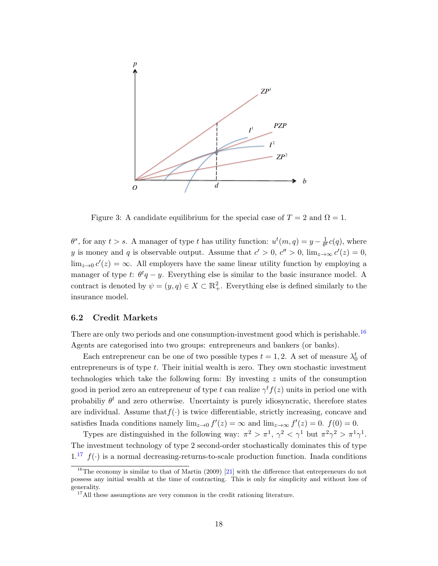

<span id="page-17-0"></span>Figure 3: A candidate equilibrium for the special case of  $T = 2$  and  $\Omega = 1$ .

 $\theta^s$ , for any  $t > s$ . A manager of type t has utility function:  $u^t(m, q) = y - \frac{1}{\theta^s}$  $\frac{1}{\theta^t}c(q)$ , where y is money and q is observable output. Assume that  $c' > 0$ ,  $c'' > 0$ ,  $\lim_{z \to \infty} c'(z) = 0$ ,  $\lim_{z\to 0} c'(z) = \infty$ . All employers have the same linear utility function by employing a manager of type t:  $\theta^t q - y$ . Everything else is similar to the basic insurance model. A contract is denoted by  $\psi = (y, q) \in X \subset \mathbb{R}^2_+$ . Everything else is defined similarly to the insurance model.

#### 6.2 Credit Markets

There are only two periods and one consumption-investment good which is perishable.<sup>[16](#page-17-1)</sup> Agents are categorised into two groups: entrepreneurs and bankers (or banks).

Each entrepreneur can be one of two possible types  $t = 1, 2$ . A set of measure  $\lambda_0^t$  of entrepreneurs is of type  $t$ . Their initial wealth is zero. They own stochastic investment technologies which take the following form: By investing z units of the consumption good in period zero an entrepreneur of type t can realize  $\gamma^t f(z)$  units in period one with probabiliy  $\theta^t$  and zero otherwise. Uncertainty is purely idiosyncratic, therefore states are individual. Assume that  $f(\cdot)$  is twice differentiable, strictly increasing, concave and satisfies Inada conditions namely  $\lim_{z\to 0} f'(z) = \infty$  and  $\lim_{z\to\infty} f'(z) = 0$ .  $f(0) = 0$ .

Types are distinguished in the following way:  $\pi^2 > \pi^1$ ,  $\gamma^2 < \gamma^1$  but  $\pi^2 \gamma^2 > \pi^1 \gamma^1$ . The investment technology of type 2 second-order stochastically dominates this of type  $1<sup>17</sup> f(.)$  $1<sup>17</sup> f(.)$  $1<sup>17</sup> f(.)$  is a normal decreasing-returns-to-scale production function. Inada conditions

<span id="page-17-1"></span><sup>&</sup>lt;sup>16</sup>The economy is similar to that of Martin (2009) [\[21\]](#page-20-14) with the difference that entrepreneurs do not possess any initial wealth at the time of contracting. This is only for simplicity and without loss of generality.

<span id="page-17-2"></span> $17$ All these assumptions are very common in the credit rationing literature.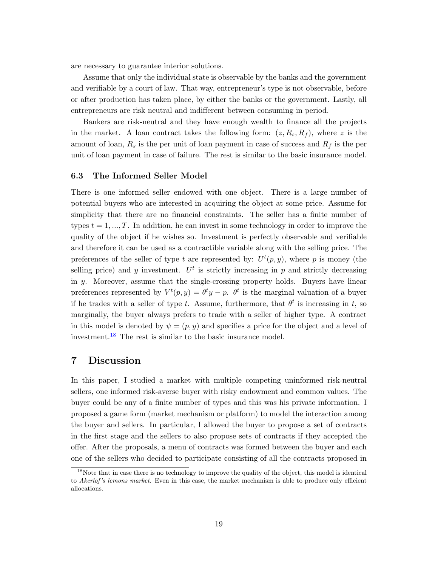are necessary to guarantee interior solutions.

Assume that only the individual state is observable by the banks and the government and verifiable by a court of law. That way, entrepreneur's type is not observable, before or after production has taken place, by either the banks or the government. Lastly, all entrepreneurs are risk neutral and indifferent between consuming in period.

Bankers are risk-neutral and they have enough wealth to finance all the projects in the market. A loan contract takes the following form:  $(z, R_s, R_f)$ , where z is the amount of loan,  $R_s$  is the per unit of loan payment in case of success and  $R_f$  is the per unit of loan payment in case of failure. The rest is similar to the basic insurance model.

#### 6.3 The Informed Seller Model

There is one informed seller endowed with one object. There is a large number of potential buyers who are interested in acquiring the object at some price. Assume for simplicity that there are no financial constraints. The seller has a finite number of types  $t = 1, ..., T$ . In addition, he can invest in some technology in order to improve the quality of the object if he wishes so. Investment is perfectly observable and verifiable and therefore it can be used as a contractible variable along with the selling price. The preferences of the seller of type t are represented by:  $U^t(p, y)$ , where p is money (the selling price) and y investment.  $U^t$  is strictly increasing in p and strictly decreasing in y. Moreover, assume that the single-crossing property holds. Buyers have linear preferences represented by  $V^t(p, y) = \theta^t y - p$ .  $\theta^t$  is the marginal valuation of a buyer if he trades with a seller of type t. Assume, furthermore, that  $\theta^t$  is increasing in t, so marginally, the buyer always prefers to trade with a seller of higher type. A contract in this model is denoted by  $\psi = (p, y)$  and specifies a price for the object and a level of investment.[18](#page-18-0) The rest is similar to the basic insurance model.

# 7 Discussion

In this paper, I studied a market with multiple competing uninformed risk-neutral sellers, one informed risk-averse buyer with risky endowment and common values. The buyer could be any of a finite number of types and this was his private information. I proposed a game form (market mechanism or platform) to model the interaction among the buyer and sellers. In particular, I allowed the buyer to propose a set of contracts in the first stage and the sellers to also propose sets of contracts if they accepted the offer. After the proposals, a menu of contracts was formed between the buyer and each one of the sellers who decided to participate consisting of all the contracts proposed in

<span id="page-18-0"></span><sup>&</sup>lt;sup>18</sup>Note that in case there is no technology to improve the quality of the object, this model is identical to Akerlof's lemons market. Even in this case, the market mechanism is able to produce only efficient allocations.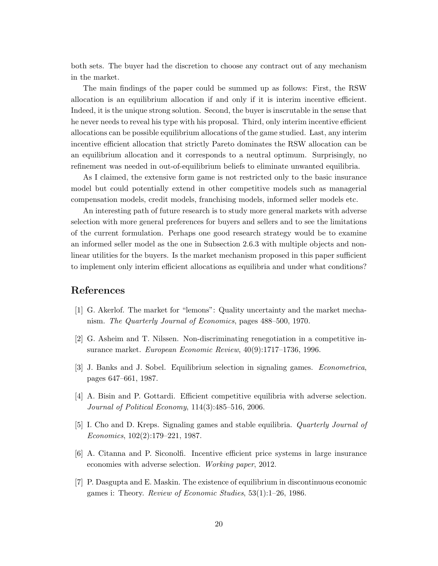both sets. The buyer had the discretion to choose any contract out of any mechanism in the market.

The main findings of the paper could be summed up as follows: First, the RSW allocation is an equilibrium allocation if and only if it is interim incentive efficient. Indeed, it is the unique strong solution. Second, the buyer is inscrutable in the sense that he never needs to reveal his type with his proposal. Third, only interim incentive efficient allocations can be possible equilibrium allocations of the game studied. Last, any interim incentive efficient allocation that strictly Pareto dominates the RSW allocation can be an equilibrium allocation and it corresponds to a neutral optimum. Surprisingly, no refinement was needed in out-of-equilibrium beliefs to eliminate unwanted equilibria.

As I claimed, the extensive form game is not restricted only to the basic insurance model but could potentially extend in other competitive models such as managerial compensation models, credit models, franchising models, informed seller models etc.

An interesting path of future research is to study more general markets with adverse selection with more general preferences for buyers and sellers and to see the limitations of the current formulation. Perhaps one good research strategy would be to examine an informed seller model as the one in Subsection 2.6.3 with multiple objects and nonlinear utilities for the buyers. Is the market mechanism proposed in this paper sufficient to implement only interim efficient allocations as equilibria and under what conditions?

### References

- <span id="page-19-0"></span>[1] G. Akerlof. The market for "lemons": Quality uncertainty and the market mechanism. The Quarterly Journal of Economics, pages 488–500, 1970.
- <span id="page-19-2"></span>[2] G. Asheim and T. Nilssen. Non-discriminating renegotiation in a competitive insurance market. European Economic Review, 40(9):1717–1736, 1996.
- <span id="page-19-4"></span>[3] J. Banks and J. Sobel. Equilibrium selection in signaling games. Econometrica, pages 647–661, 1987.
- <span id="page-19-5"></span>[4] A. Bisin and P. Gottardi. Efficient competitive equilibria with adverse selection. Journal of Political Economy, 114(3):485–516, 2006.
- <span id="page-19-3"></span>[5] I. Cho and D. Kreps. Signaling games and stable equilibria. Quarterly Journal of Economics, 102(2):179–221, 1987.
- <span id="page-19-6"></span>[6] A. Citanna and P. Siconolfi. Incentive efficient price systems in large insurance economies with adverse selection. Working paper, 2012.
- <span id="page-19-1"></span>[7] P. Dasgupta and E. Maskin. The existence of equilibrium in discontinuous economic games i: Theory. Review of Economic Studies,  $53(1)$ :1–26, 1986.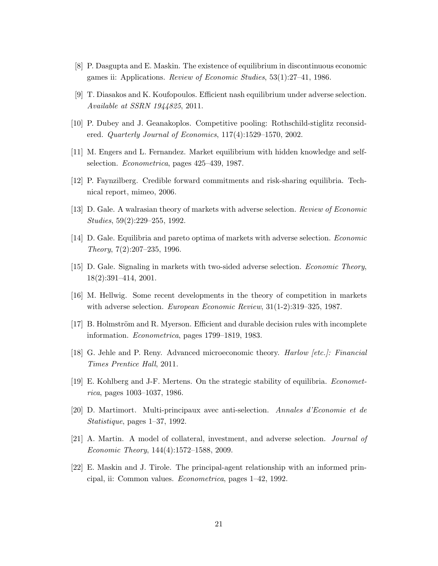- <span id="page-20-4"></span>[8] P. Dasgupta and E. Maskin. The existence of equilibrium in discontinuous economic games ii: Applications. Review of Economic Studies, 53(1):27–41, 1986.
- <span id="page-20-5"></span>[9] T. Diasakos and K. Koufopoulos. Efficient nash equilibrium under adverse selection. Available at SSRN 1944825, 2011.
- <span id="page-20-11"></span>[10] P. Dubey and J. Geanakoplos. Competitive pooling: Rothschild-stiglitz reconsidered. Quarterly Journal of Economics, 117(4):1529–1570, 2002.
- <span id="page-20-3"></span>[11] M. Engers and L. Fernandez. Market equilibrium with hidden knowledge and selfselection. Econometrica, pages 425–439, 1987.
- <span id="page-20-6"></span>[12] P. Faynzilberg. Credible forward commitments and risk-sharing equilibria. Technical report, mimeo, 2006.
- <span id="page-20-8"></span>[13] D. Gale. A walrasian theory of markets with adverse selection. Review of Economic Studies, 59(2):229–255, 1992.
- <span id="page-20-9"></span>[14] D. Gale. Equilibria and pareto optima of markets with adverse selection. Economic Theory, 7(2):207–235, 1996.
- <span id="page-20-10"></span>[15] D. Gale. Signaling in markets with two-sided adverse selection. Economic Theory, 18(2):391–414, 2001.
- <span id="page-20-2"></span>[16] M. Hellwig. Some recent developments in the theory of competition in markets with adverse selection. *European Economic Review*,  $31(1-2):319-325, 1987$ .
- <span id="page-20-1"></span>[17] B. Holmström and R. Myerson. Efficient and durable decision rules with incomplete information. Econometrica, pages 1799–1819, 1983.
- <span id="page-20-12"></span>[18] G. Jehle and P. Reny. Advanced microeconomic theory. Harlow [etc.]: Financial Times Prentice Hall, 2011.
- <span id="page-20-7"></span>[19] E. Kohlberg and J-F. Mertens. On the strategic stability of equilibria. Econometrica, pages 1003–1037, 1986.
- <span id="page-20-13"></span>[20] D. Martimort. Multi-principaux avec anti-selection. Annales d'Economie et de Statistique, pages 1–37, 1992.
- <span id="page-20-14"></span>[21] A. Martin. A model of collateral, investment, and adverse selection. Journal of Economic Theory, 144(4):1572–1588, 2009.
- <span id="page-20-0"></span>[22] E. Maskin and J. Tirole. The principal-agent relationship with an informed principal, ii: Common values. Econometrica, pages 1–42, 1992.